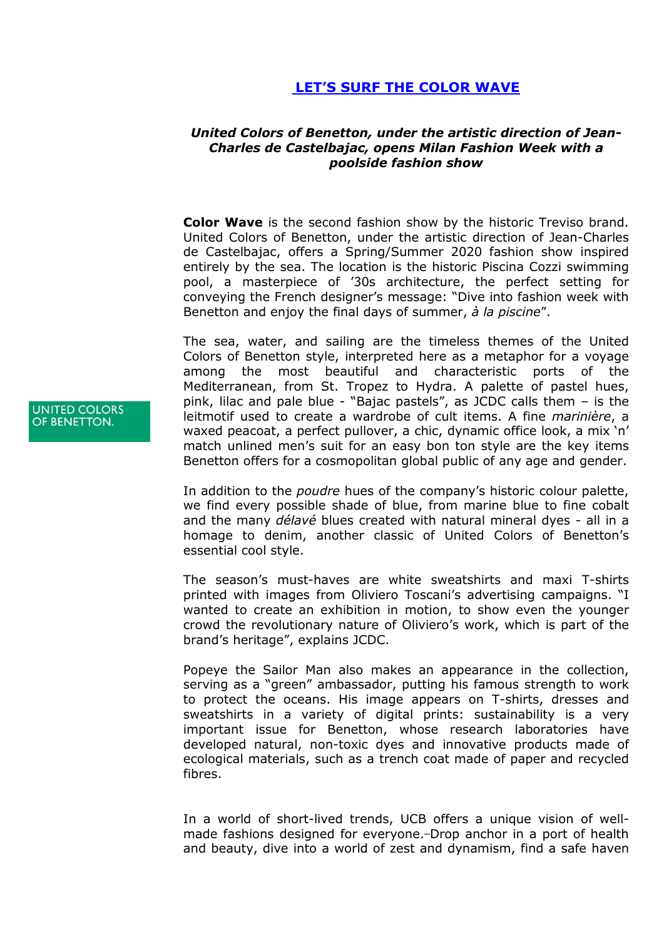## **[LET'S SURF THE COLOR WAVE](http://www.fashionshow.benetton.com/presskit/colorwave)**

## *United Colors of Benetton, under the artistic direction of Jean-Charles de Castelbajac, opens Milan Fashion Week with a poolside fashion show*

**Color Wave** is the second fashion show by the historic Treviso brand. United Colors of Benetton, under the artistic direction of Jean-Charles de Castelbajac, offers a Spring/Summer 2020 fashion show inspired entirely by the sea. The location is the historic Piscina Cozzi swimming pool, a masterpiece of "30s architecture, the perfect setting for conveying the French designer"s message: "Dive into fashion week with Benetton and enjoy the final days of summer, *à la piscine*".

The sea, water, and sailing are the timeless themes of the United Colors of Benetton style, interpreted here as a metaphor for a voyage among the most beautiful and characteristic ports of the Mediterranean, from St. Tropez to Hydra. A palette of pastel hues, pink, lilac and pale blue - "Bajac pastels", as JCDC calls them – is the leitmotif used to create a wardrobe of cult items. A fine *marinière*, a waxed peacoat, a perfect pullover, a chic, dynamic office look, a mix 'n' match unlined men's suit for an easy bon ton style are the key items Benetton offers for a cosmopolitan global public of any age and gender.

In addition to the *poudre* hues of the company"s historic colour palette, we find every possible shade of blue, from marine blue to fine cobalt and the many *délavé* blues created with natural mineral dyes - all in a homage to denim, another classic of United Colors of Benetton"s essential cool style.

The season"s must-haves are white sweatshirts and maxi T-shirts printed with images from Oliviero Toscani's advertising campaigns. "I wanted to create an exhibition in motion, to show even the younger crowd the revolutionary nature of Oliviero"s work, which is part of the brand"s heritage", explains JCDC.

Popeye the Sailor Man also makes an appearance in the collection, serving as a "green" ambassador, putting his famous strength to work to protect the oceans. His image appears on T-shirts, dresses and sweatshirts in a variety of digital prints: sustainability is a very important issue for Benetton, whose research laboratories have developed natural, non-toxic dyes and innovative products made of ecological materials, such as a trench coat made of paper and recycled fibres.

In a world of short-lived trends, UCB offers a unique vision of wellmade fashions designed for everyone.-Drop anchor in a port of health and beauty, dive into a world of zest and dynamism, find a safe haven

**UNITED COLORS** OF BENETTON.